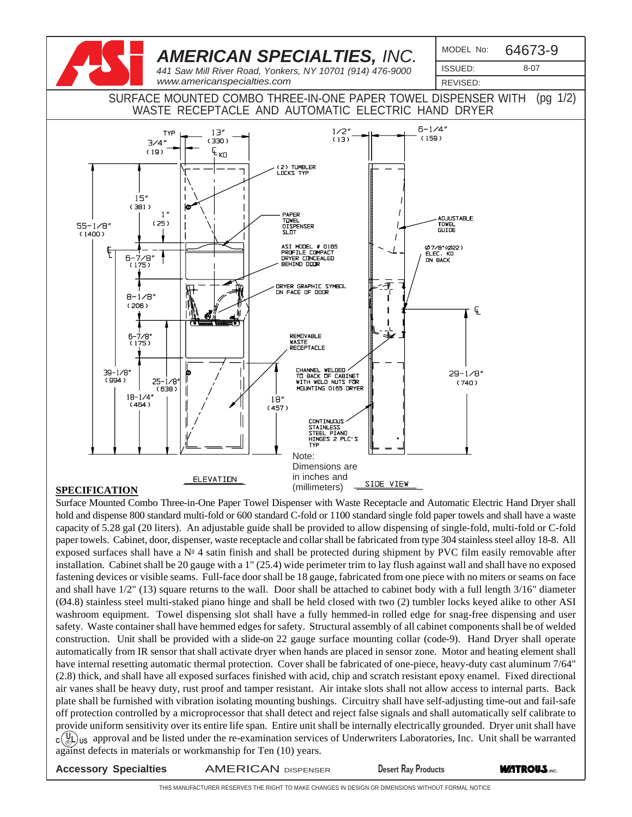

#### **SPECIFICATION**

 $c(\mathbb{R})$  us approval and be listed under the re-examination services of Underwriters Laboratories, Inc. Unit shall be warranted Surface Mounted Combo Three-in-One Paper Towel Dispenser with Waste Receptacle and Automatic Electric Hand Dryer shall hold and dispense 800 standard multi-fold or 600 standard C-fold or 1100 standard single fold paper towels and shall have a waste capacity of 5.28 gal (20 liters). An adjustable guide shall be provided to allow dispensing of single-fold, multi-fold or C-fold paper towels. Cabinet, door, dispenser, waste receptacle and collar shall be fabricated from type 304 stainless steel alloy 18-8. All exposed surfaces shall have a  $N<sup>2</sup>$  4 satin finish and shall be protected during shipment by PVC film easily removable after installation. Cabinet shall be 20 gauge with a 1" (25.4) wide perimeter trim to lay flush against wall and shall have no exposed fastening devices or visible seams. Full-face door shall be 18 gauge, fabricated from one piece with no miters or seams on face and shall have 1/2" (13) square returns to the wall. Door shall be attached to cabinet body with a full length 3/16" diameter (Ø4.8) stainless steel multi-staked piano hinge and shall be held closed with two (2) tumbler locks keyed alike to other ASI washroom equipment. Towel dispensing slot shall have a fully hemmed-in rolled edge for snag-free dispensing and user safety. Waste container shall have hemmed edges for safety. Structural assembly of all cabinet components shall be of welded construction. Unit shall be provided with a slide-on 22 gauge surface mounting collar (code-9). Hand Dryer shall operate automatically from IR sensor that shall activate dryer when hands are placed in sensor zone. Motor and heating element shall have internal resetting automatic thermal protection. Cover shall be fabricated of one-piece, heavy-duty cast aluminum 7/64" (2.8) thick, and shall have all exposed surfaces finished with acid, chip and scratch resistant epoxy enamel. Fixed directional air vanes shall be heavy duty, rust proof and tamper resistant. Air intake slots shall not allow access to internal parts. Back plate shall be furnished with vibration isolating mounting bushings. Circuitry shall have self-adjusting time-out and fail-safe off protection controlled by a microprocessor that shall detect and reject false signals and shall automatically self calibrate to provide uniform sensitivity over its entire life span. Entire unit shall be internally electrically grounded. Dryer unit shall have against defects in materials or workmanship for Ten (10) years.

**ACCESSORY Specialties AMERICAN** DISPENSER Desert Ray Products **WATROUS.**